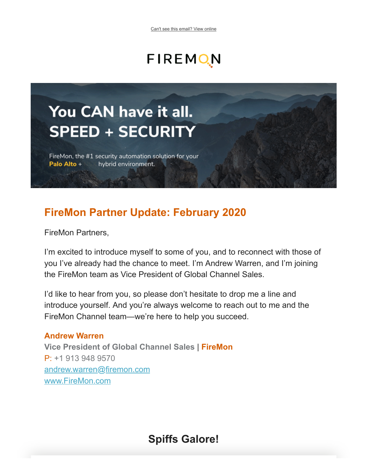# FIREMON

# You CAN have it all. **SPEED + SECURITY**

FireMon, the #1 security automation solution for your Palo Alto + hybrid environment.

# **FireMon Partner Update: February 2020**

FireMon Partners,

I'm excited to introduce myself to some of you, and to reconnect with those of you I've already had the chance to meet. I'm Andrew Warren, and I'm joining the FireMon team as Vice President of Global Channel Sales.

I'd like to hear from you, so please don't hesitate to drop me a line and introduce yourself. And you're always welcome to reach out to me and the FireMon Channel team—we're here to help you succeed.

#### **Andrew Warren**

**Vice President of Global Channel Sales** | **FireMon** P: +1 913 948 9570 [andrew.warren@firemon.com](mailto:andrew.warren@firemon.com) [www.FireMon.com](http://content.firemon.com/e/11772/2020-02-20/6g9hb9/1026745296?h=Qs4R7qtH2pIiJk8OmN-rdp2Q7LQJQyHY45WDBL3E_Q4)

**Spiffs Galore!**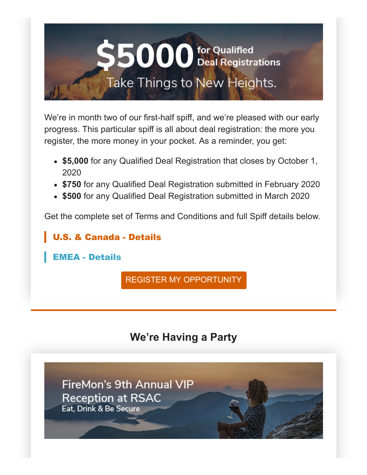

We're in month two of our first-half spiff, and we're pleased with our early progress. This particular spiff is all about deal registration: the more you register, the more money in your pocket. As a reminder, you get:

- **\$5,000** for any Qualified Deal Registration that closes by October 1, 2020
- **\$750** for any Qualified Deal Registration submitted in February 2020
- **\$500** for any Qualified Deal Registration submitted in March 2020

Get the complete set of Terms and Conditions and full Spiff details below.

[U.S. & Canada - Details](http://content.firemon.com/e/11772/ntent-uploads-Q1-Spiff-NAM-pdf/6g9h9f/1026745296?h=Qs4R7qtH2pIiJk8OmN-rdp2Q7LQJQyHY45WDBL3E_Q4)

[EMEA - Details](http://content.firemon.com/e/11772/tent-uploads-Q1-Spiff-EMEA-pdf/6g9h9h/1026745296?h=Qs4R7qtH2pIiJk8OmN-rdp2Q7LQJQyHY45WDBL3E_Q4)

[REGISTER MY OPPORTUNITY](http://content.firemon.com/e/11772/egistration-register-deal-aspx/6g9h9k/1026745296?h=Qs4R7qtH2pIiJk8OmN-rdp2Q7LQJQyHY45WDBL3E_Q4)

# **We're Having a Party**

**FireMon's 9th Annual VIP Reception at RSAC** Eat. Drink & Be Secure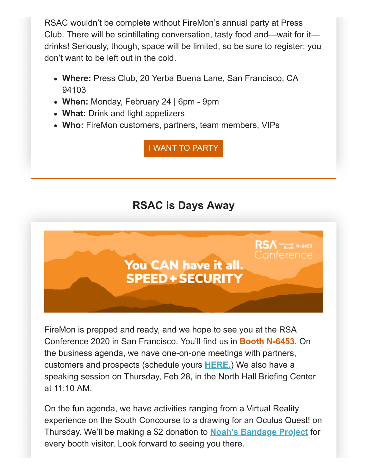RSAC wouldn't be complete without FireMon's annual party at Press Club. There will be scintillating conversation, tasty food and—wait for it drinks! Seriously, though, space will be limited, so be sure to register: you don't want to be left out in the cold.

- **Where:** Press Club, 20 Yerba Buena Lane, San Francisco, CA 94103
- **When:** Monday, February 24 | 6pm 9pm
- **What:** Drink and light appetizers
- **Who:** FireMon customers, partners, team members, VIPs

[I WANT TO PARTY](http://content.firemon.com/e/11772/rsac2020-pressclub-/6g9h9m/1026745296?h=Qs4R7qtH2pIiJk8OmN-rdp2Q7LQJQyHY45WDBL3E_Q4)

# **RSAC is Days Away**



FireMon is prepped and ready, and we hope to see you at the RSA Conference 2020 in San Francisco. You'll find us in **Booth N-6453**. On the business agenda, we have one-on-one meetings with partners, customers and prospects (schedule yours **[HERE.](http://content.firemon.com/e/11772/rsac2020/6g9h9p/1026745296?h=Qs4R7qtH2pIiJk8OmN-rdp2Q7LQJQyHY45WDBL3E_Q4)**) We also have a speaking session on Thursday, Feb 28, in the North Hall Briefing Center at 11:10 AM.

On the fun agenda, we have activities ranging from a Virtual Reality experience on the South Concourse to a drawing for an Oculus Quest! on Thursday. We'll be making a \$2 donation to **[Noah's Bandage Project](http://content.firemon.com/e/11772/2020-02-20/6g9h9r/1026745296?h=Qs4R7qtH2pIiJk8OmN-rdp2Q7LQJQyHY45WDBL3E_Q4)** for every booth visitor. Look forward to seeing you there.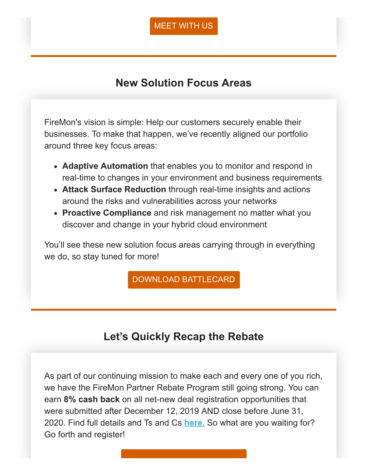#### [MEET WITH US](http://content.firemon.com/e/11772/rsac2020/6g9h9p/1026745296?h=Qs4R7qtH2pIiJk8OmN-rdp2Q7LQJQyHY45WDBL3E_Q4)

## **New Solution Focus Areas**

FireMon's vision is simple: Help our customers securely enable their businesses. To make that happen, we've recently aligned our portfolio around three key focus areas:

- **Adaptive Automation** that enables you to monitor and respond in real-time to changes in your environment and business requirements
- **Attack Surface Reduction** through real-time insights and actions around the risks and vulnerabilities across your networks
- **Proactive Compliance** and risk management no matter what you discover and change in your hybrid cloud environment

You'll see these new solution focus areas carrying through in everything we do, so stay tuned for more!

[DOWNLOAD BATTLECARD](http://content.firemon.com/e/11772/d-h212B4L6-B9Tj0KrAj3xQPx9k8A1/6g9h9t/1026745296?h=Qs4R7qtH2pIiJk8OmN-rdp2Q7LQJQyHY45WDBL3E_Q4)

## **Let's Quickly Recap the Rebate**

As part of our continuing mission to make each and every one of you rich, we have the FireMon Partner Rebate Program still going strong. You can earn **8% cash back** on all net-new deal registration opportunities that were submitted after December 12, 2019 AND close before June 31, 2020. Find full details and Ts and Cs **[here.](http://content.firemon.com/e/11772/-Rebate-Program-2020-Final-pdf/6g9h9w/1026745296?h=Qs4R7qtH2pIiJk8OmN-rdp2Q7LQJQyHY45WDBL3E_Q4)** So what are you waiting for? Go forth and register!